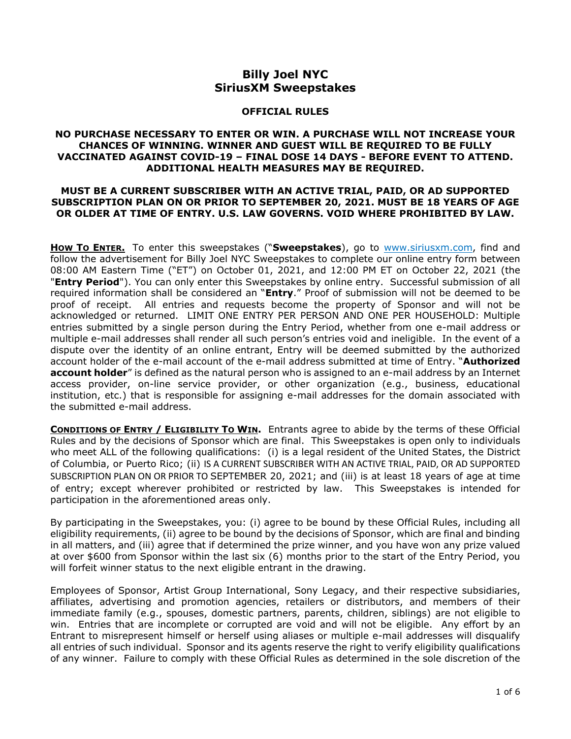## **Billy Joel NYC SiriusXM Sweepstakes**

## **OFFICIAL RULES**

## **NO PURCHASE NECESSARY TO ENTER OR WIN. A PURCHASE WILL NOT INCREASE YOUR CHANCES OF WINNING. WINNER AND GUEST WILL BE REQUIRED TO BE FULLY VACCINATED AGAINST COVID-19 – FINAL DOSE 14 DAYS - BEFORE EVENT TO ATTEND. ADDITIONAL HEALTH MEASURES MAY BE REQUIRED.**

## **MUST BE A CURRENT SUBSCRIBER WITH AN ACTIVE TRIAL, PAID, OR AD SUPPORTED SUBSCRIPTION PLAN ON OR PRIOR TO SEPTEMBER 20, 2021. MUST BE 18 YEARS OF AGE OR OLDER AT TIME OF ENTRY. U.S. LAW GOVERNS. VOID WHERE PROHIBITED BY LAW.**

**HOW TO ENTER.** To enter this sweepstakes ("**Sweepstakes**), go to [www.siriusxm.com,](http://www.siriusxm.com/) find and follow the advertisement for Billy Joel NYC Sweepstakes to complete our online entry form between 08:00 AM Eastern Time ("ET") on October 01, 2021, and 12:00 PM ET on October 22, 2021 (the "**Entry Period**"). You can only enter this Sweepstakes by online entry. Successful submission of all required information shall be considered an "**Entry**." Proof of submission will not be deemed to be proof of receipt. All entries and requests become the property of Sponsor and will not be acknowledged or returned. LIMIT ONE ENTRY PER PERSON AND ONE PER HOUSEHOLD: Multiple entries submitted by a single person during the Entry Period, whether from one e-mail address or multiple e-mail addresses shall render all such person's entries void and ineligible. In the event of a dispute over the identity of an online entrant, Entry will be deemed submitted by the authorized account holder of the e-mail account of the e-mail address submitted at time of Entry. "**Authorized account holder**" is defined as the natural person who is assigned to an e-mail address by an Internet access provider, on-line service provider, or other organization (e.g., business, educational institution, etc.) that is responsible for assigning e-mail addresses for the domain associated with the submitted e-mail address.

**CONDITIONS OF ENTRY / ELIGIBILITY TO WIN.** Entrants agree to abide by the terms of these Official Rules and by the decisions of Sponsor which are final. This Sweepstakes is open only to individuals who meet ALL of the following qualifications: (i) is a legal resident of the United States, the District of Columbia, or Puerto Rico; (ii) IS A CURRENT SUBSCRIBER WITH AN ACTIVE TRIAL, PAID, OR AD SUPPORTED SUBSCRIPTION PLAN ON OR PRIOR TO SEPTEMBER 20, 2021; and (iii) is at least 18 years of age at time of entry; except wherever prohibited or restricted by law. This Sweepstakes is intended for participation in the aforementioned areas only.

By participating in the Sweepstakes, you: (i) agree to be bound by these Official Rules, including all eligibility requirements, (ii) agree to be bound by the decisions of Sponsor, which are final and binding in all matters, and (iii) agree that if determined the prize winner, and you have won any prize valued at over \$600 from Sponsor within the last six (6) months prior to the start of the Entry Period, you will forfeit winner status to the next eligible entrant in the drawing.

Employees of Sponsor, Artist Group International, Sony Legacy, and their respective subsidiaries, affiliates, advertising and promotion agencies, retailers or distributors, and members of their immediate family (e.g., spouses, domestic partners, parents, children, siblings) are not eligible to win. Entries that are incomplete or corrupted are void and will not be eligible. Any effort by an Entrant to misrepresent himself or herself using aliases or multiple e-mail addresses will disqualify all entries of such individual. Sponsor and its agents reserve the right to verify eligibility qualifications of any winner. Failure to comply with these Official Rules as determined in the sole discretion of the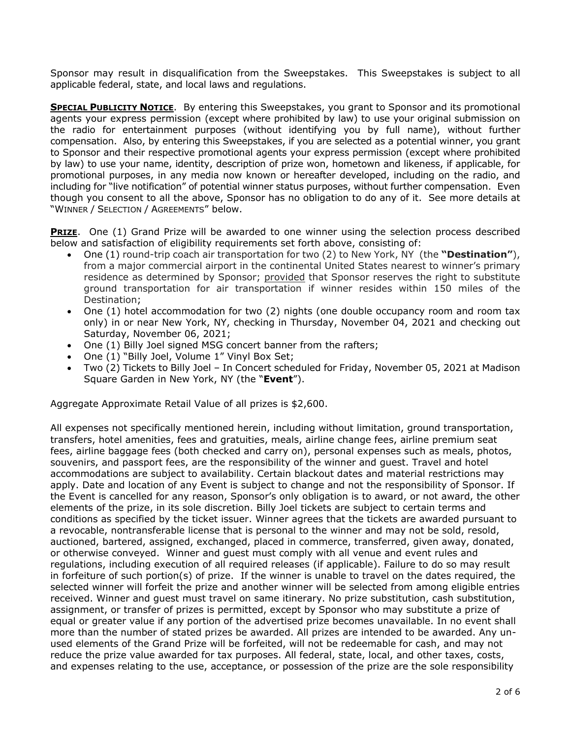Sponsor may result in disqualification from the Sweepstakes. This Sweepstakes is subject to all applicable federal, state, and local laws and regulations.

**SPECIAL PUBLICITY NOTICE.** By entering this Sweepstakes, you grant to Sponsor and its promotional agents your express permission (except where prohibited by law) to use your original submission on the radio for entertainment purposes (without identifying you by full name), without further compensation. Also, by entering this Sweepstakes, if you are selected as a potential winner, you grant to Sponsor and their respective promotional agents your express permission (except where prohibited by law) to use your name, identity, description of prize won, hometown and likeness, if applicable, for promotional purposes, in any media now known or hereafter developed, including on the radio, and including for "live notification" of potential winner status purposes, without further compensation. Even though you consent to all the above, Sponsor has no obligation to do any of it. See more details at "WINNER / SELECTION / AGREEMENTS" below.

**PRIZE**. One (1) Grand Prize will be awarded to one winner using the selection process described below and satisfaction of eligibility requirements set forth above, consisting of:

- One (1) round-trip coach air transportation for two (2) to New York, NY (the **"Destination"**), from a major commercial airport in the continental United States nearest to winner's primary residence as determined by Sponsor; provided that Sponsor reserves the right to substitute ground transportation for air transportation if winner resides within 150 miles of the Destination;
- One (1) hotel accommodation for two (2) nights (one double occupancy room and room tax only) in or near New York, NY, checking in Thursday, November 04, 2021 and checking out Saturday, November 06, 2021;
- One (1) Billy Joel signed MSG concert banner from the rafters;
- One (1) "Billy Joel, Volume 1" Vinyl Box Set;
- Two (2) Tickets to Billy Joel In Concert scheduled for Friday, November 05, 2021 at Madison Square Garden in New York, NY (the "**Event**").

Aggregate Approximate Retail Value of all prizes is \$2,600.

All expenses not specifically mentioned herein, including without limitation, ground transportation, transfers, hotel amenities, fees and gratuities, meals, airline change fees, airline premium seat fees, airline baggage fees (both checked and carry on), personal expenses such as meals, photos, souvenirs, and passport fees, are the responsibility of the winner and guest. Travel and hotel accommodations are subject to availability. Certain blackout dates and material restrictions may apply. Date and location of any Event is subject to change and not the responsibility of Sponsor. If the Event is cancelled for any reason, Sponsor's only obligation is to award, or not award, the other elements of the prize, in its sole discretion. Billy Joel tickets are subject to certain terms and conditions as specified by the ticket issuer. Winner agrees that the tickets are awarded pursuant to a revocable, nontransferable license that is personal to the winner and may not be sold, resold, auctioned, bartered, assigned, exchanged, placed in commerce, transferred, given away, donated, or otherwise conveyed. Winner and guest must comply with all venue and event rules and regulations, including execution of all required releases (if applicable). Failure to do so may result in forfeiture of such portion(s) of prize. If the winner is unable to travel on the dates required, the selected winner will forfeit the prize and another winner will be selected from among eligible entries received. Winner and guest must travel on same itinerary. No prize substitution, cash substitution, assignment, or transfer of prizes is permitted, except by Sponsor who may substitute a prize of equal or greater value if any portion of the advertised prize becomes unavailable. In no event shall more than the number of stated prizes be awarded. All prizes are intended to be awarded. Any unused elements of the Grand Prize will be forfeited, will not be redeemable for cash, and may not reduce the prize value awarded for tax purposes. All federal, state, local, and other taxes, costs, and expenses relating to the use, acceptance, or possession of the prize are the sole responsibility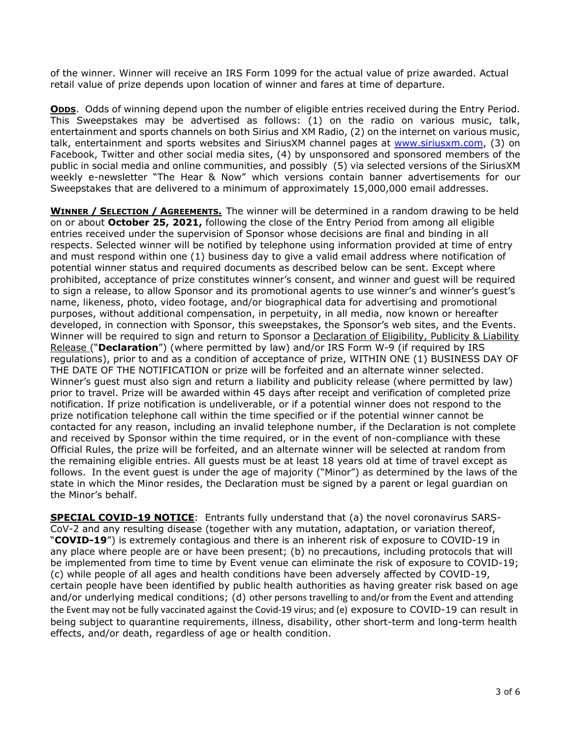of the winner. Winner will receive an IRS Form 1099 for the actual value of prize awarded. Actual retail value of prize depends upon location of winner and fares at time of departure.

**ODDS.** Odds of winning depend upon the number of eligible entries received during the Entry Period. This Sweepstakes may be advertised as follows: (1) on the radio on various music, talk, entertainment and sports channels on both Sirius and XM Radio, (2) on the internet on various music, talk, entertainment and sports websites and SiriusXM channel pages at [www.siriusxm.com,](http://www.siriusxm.com/) (3) on Facebook, Twitter and other social media sites, (4) by unsponsored and sponsored members of the public in social media and online communities, and possibly (5) via selected versions of the SiriusXM weekly e-newsletter "The Hear & Now" which versions contain banner advertisements for our Sweepstakes that are delivered to a minimum of approximately 15,000,000 email addresses.

**WINNER / SELECTION / AGREEMENTS.** The winner will be determined in a random drawing to be held on or about **October 25, 2021,** following the close of the Entry Period from among all eligible entries received under the supervision of Sponsor whose decisions are final and binding in all respects. Selected winner will be notified by telephone using information provided at time of entry and must respond within one (1) business day to give a valid email address where notification of potential winner status and required documents as described below can be sent. Except where prohibited, acceptance of prize constitutes winner's consent, and winner and guest will be required to sign a release, to allow Sponsor and its promotional agents to use winner's and winner's guest's name, likeness, photo, video footage, and/or biographical data for advertising and promotional purposes, without additional compensation, in perpetuity, in all media, now known or hereafter developed, in connection with Sponsor, this sweepstakes, the Sponsor's web sites, and the Events. Winner will be required to sign and return to Sponsor a Declaration of Eligibility, Publicity & Liability Release ("**Declaration**") (where permitted by law) and/or IRS Form W-9 (if required by IRS regulations), prior to and as a condition of acceptance of prize, WITHIN ONE (1) BUSINESS DAY OF THE DATE OF THE NOTIFICATION or prize will be forfeited and an alternate winner selected. Winner's quest must also sign and return a liability and publicity release (where permitted by law) prior to travel. Prize will be awarded within 45 days after receipt and verification of completed prize notification. If prize notification is undeliverable, or if a potential winner does not respond to the prize notification telephone call within the time specified or if the potential winner cannot be contacted for any reason, including an invalid telephone number, if the Declaration is not complete and received by Sponsor within the time required, or in the event of non-compliance with these Official Rules, the prize will be forfeited, and an alternate winner will be selected at random from the remaining eligible entries. All guests must be at least 18 years old at time of travel except as follows. In the event guest is under the age of majority ("Minor") as determined by the laws of the state in which the Minor resides, the Declaration must be signed by a parent or legal guardian on the Minor's behalf.

**SPECIAL COVID-19 NOTICE**: Entrants fully understand that (a) the novel coronavirus SARS-CoV-2 and any resulting disease (together with any mutation, adaptation, or variation thereof, "**COVID-19**") is extremely contagious and there is an inherent risk of exposure to COVID-19 in any place where people are or have been present; (b) no precautions, including protocols that will be implemented from time to time by Event venue can eliminate the risk of exposure to COVID-19; (c) while people of all ages and health conditions have been adversely affected by COVID-19, certain people have been identified by public health authorities as having greater risk based on age and/or underlying medical conditions; (d) other persons travelling to and/or from the Event and attending the Event may not be fully vaccinated against the Covid-19 virus; and (e) exposure to COVID-19 can result in being subject to quarantine requirements, illness, disability, other short-term and long-term health effects, and/or death, regardless of age or health condition.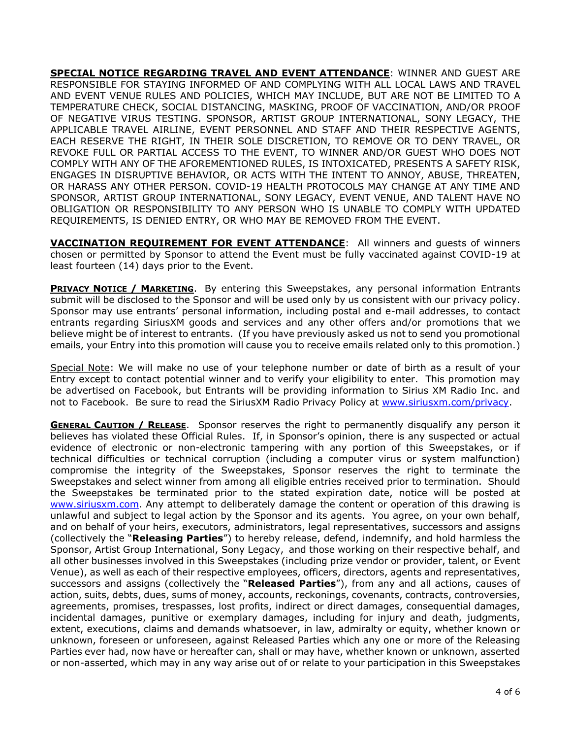**SPECIAL NOTICE REGARDING TRAVEL AND EVENT ATTENDANCE**: WINNER AND GUEST ARE RESPONSIBLE FOR STAYING INFORMED OF AND COMPLYING WITH ALL LOCAL LAWS AND TRAVEL AND EVENT VENUE RULES AND POLICIES, WHICH MAY INCLUDE, BUT ARE NOT BE LIMITED TO A TEMPERATURE CHECK, SOCIAL DISTANCING, MASKING, PROOF OF VACCINATION, AND/OR PROOF OF NEGATIVE VIRUS TESTING. SPONSOR, ARTIST GROUP INTERNATIONAL, SONY LEGACY, THE APPLICABLE TRAVEL AIRLINE, EVENT PERSONNEL AND STAFF AND THEIR RESPECTIVE AGENTS, EACH RESERVE THE RIGHT, IN THEIR SOLE DISCRETION, TO REMOVE OR TO DENY TRAVEL, OR REVOKE FULL OR PARTIAL ACCESS TO THE EVENT, TO WINNER AND/OR GUEST WHO DOES NOT COMPLY WITH ANY OF THE AFOREMENTIONED RULES, IS INTOXICATED, PRESENTS A SAFETY RISK, ENGAGES IN DISRUPTIVE BEHAVIOR, OR ACTS WITH THE INTENT TO ANNOY, ABUSE, THREATEN, OR HARASS ANY OTHER PERSON. COVID-19 HEALTH PROTOCOLS MAY CHANGE AT ANY TIME AND SPONSOR, ARTIST GROUP INTERNATIONAL, SONY LEGACY, EVENT VENUE, AND TALENT HAVE NO OBLIGATION OR RESPONSIBILITY TO ANY PERSON WHO IS UNABLE TO COMPLY WITH UPDATED REQUIREMENTS, IS DENIED ENTRY, OR WHO MAY BE REMOVED FROM THE EVENT.

**VACCINATION REQUIREMENT FOR EVENT ATTENDANCE**: All winners and guests of winners chosen or permitted by Sponsor to attend the Event must be fully vaccinated against COVID-19 at least fourteen (14) days prior to the Event.

**PRIVACY NOTICE / MARKETING**. By entering this Sweepstakes, any personal information Entrants submit will be disclosed to the Sponsor and will be used only by us consistent with our privacy policy. Sponsor may use entrants' personal information, including postal and e-mail addresses, to contact entrants regarding SiriusXM goods and services and any other offers and/or promotions that we believe might be of interest to entrants. (If you have previously asked us not to send you promotional emails, your Entry into this promotion will cause you to receive emails related only to this promotion.)

Special Note: We will make no use of your telephone number or date of birth as a result of your Entry except to contact potential winner and to verify your eligibility to enter. This promotion may be advertised on Facebook, but Entrants will be providing information to Sirius XM Radio Inc. and not to Facebook. Be sure to read the SiriusXM Radio Privacy Policy at [www.siriusxm.com/privacy.](http://www.siriusxm.com/privacy)

**GENERAL CAUTION / RELEASE.** Sponsor reserves the right to permanently disqualify any person it believes has violated these Official Rules. If, in Sponsor's opinion, there is any suspected or actual evidence of electronic or non-electronic tampering with any portion of this Sweepstakes, or if technical difficulties or technical corruption (including a computer virus or system malfunction) compromise the integrity of the Sweepstakes, Sponsor reserves the right to terminate the Sweepstakes and select winner from among all eligible entries received prior to termination. Should the Sweepstakes be terminated prior to the stated expiration date, notice will be posted at [www.siriusxm.com.](http://www.siriusxm.com/) Any attempt to deliberately damage the content or operation of this drawing is unlawful and subject to legal action by the Sponsor and its agents. You agree, on your own behalf, and on behalf of your heirs, executors, administrators, legal representatives, successors and assigns (collectively the "**Releasing Parties**") to hereby release, defend, indemnify, and hold harmless the Sponsor, Artist Group International, Sony Legacy, and those working on their respective behalf, and all other businesses involved in this Sweepstakes (including prize vendor or provider, talent, or Event Venue), as well as each of their respective employees, officers, directors, agents and representatives, successors and assigns (collectively the "**Released Parties**"), from any and all actions, causes of action, suits, debts, dues, sums of money, accounts, reckonings, covenants, contracts, controversies, agreements, promises, trespasses, lost profits, indirect or direct damages, consequential damages, incidental damages, punitive or exemplary damages, including for injury and death, judgments, extent, executions, claims and demands whatsoever, in law, admiralty or equity, whether known or unknown, foreseen or unforeseen, against Released Parties which any one or more of the Releasing Parties ever had, now have or hereafter can, shall or may have, whether known or unknown, asserted or non-asserted, which may in any way arise out of or relate to your participation in this Sweepstakes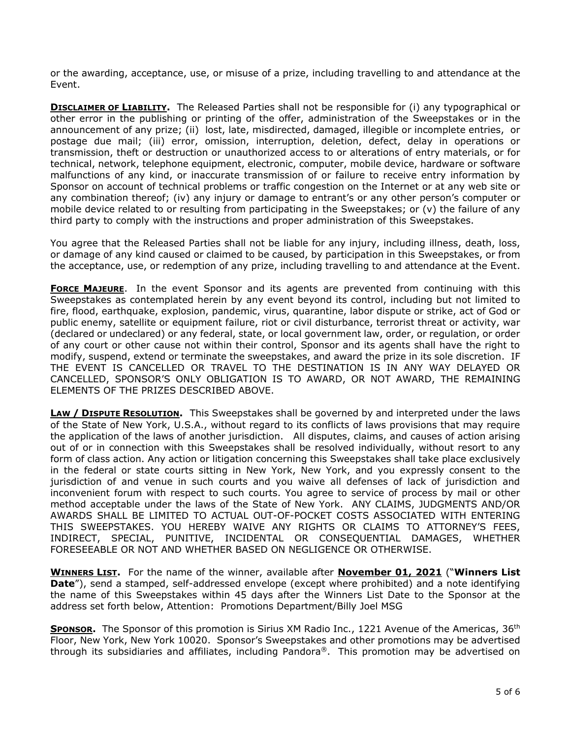or the awarding, acceptance, use, or misuse of a prize, including travelling to and attendance at the Event.

**DISCLAIMER OF LIABILITY.** The Released Parties shall not be responsible for (i) any typographical or other error in the publishing or printing of the offer, administration of the Sweepstakes or in the announcement of any prize; (ii) lost, late, misdirected, damaged, illegible or incomplete entries, or postage due mail; (iii) error, omission, interruption, deletion, defect, delay in operations or transmission, theft or destruction or unauthorized access to or alterations of entry materials, or for technical, network, telephone equipment, electronic, computer, mobile device, hardware or software malfunctions of any kind, or inaccurate transmission of or failure to receive entry information by Sponsor on account of technical problems or traffic congestion on the Internet or at any web site or any combination thereof; (iv) any injury or damage to entrant's or any other person's computer or mobile device related to or resulting from participating in the Sweepstakes; or (v) the failure of any third party to comply with the instructions and proper administration of this Sweepstakes.

You agree that the Released Parties shall not be liable for any injury, including illness, death, loss, or damage of any kind caused or claimed to be caused, by participation in this Sweepstakes, or from the acceptance, use, or redemption of any prize, including travelling to and attendance at the Event.

**FORCE MAJEURE**. In the event Sponsor and its agents are prevented from continuing with this Sweepstakes as contemplated herein by any event beyond its control, including but not limited to fire, flood, earthquake, explosion, pandemic, virus, quarantine, labor dispute or strike, act of God or public enemy, satellite or equipment failure, riot or civil disturbance, terrorist threat or activity, war (declared or undeclared) or any federal, state, or local government law, order, or regulation, or order of any court or other cause not within their control, Sponsor and its agents shall have the right to modify, suspend, extend or terminate the sweepstakes, and award the prize in its sole discretion. IF THE EVENT IS CANCELLED OR TRAVEL TO THE DESTINATION IS IN ANY WAY DELAYED OR CANCELLED, SPONSOR'S ONLY OBLIGATION IS TO AWARD, OR NOT AWARD, THE REMAINING ELEMENTS OF THE PRIZES DESCRIBED ABOVE.

**LAW / DISPUTE RESOLUTION.** This Sweepstakes shall be governed by and interpreted under the laws of the State of New York, U.S.A., without regard to its conflicts of laws provisions that may require the application of the laws of another jurisdiction. All disputes, claims, and causes of action arising out of or in connection with this Sweepstakes shall be resolved individually, without resort to any form of class action. Any action or litigation concerning this Sweepstakes shall take place exclusively in the federal or state courts sitting in New York, New York, and you expressly consent to the jurisdiction of and venue in such courts and you waive all defenses of lack of jurisdiction and inconvenient forum with respect to such courts. You agree to service of process by mail or other method acceptable under the laws of the State of New York. ANY CLAIMS, JUDGMENTS AND/OR AWARDS SHALL BE LIMITED TO ACTUAL OUT-OF-POCKET COSTS ASSOCIATED WITH ENTERING THIS SWEEPSTAKES. YOU HEREBY WAIVE ANY RIGHTS OR CLAIMS TO ATTORNEY'S FEES, INDIRECT, SPECIAL, PUNITIVE, INCIDENTAL OR CONSEQUENTIAL DAMAGES, WHETHER FORESEEABLE OR NOT AND WHETHER BASED ON NEGLIGENCE OR OTHERWISE.

**WINNERS LIST.** For the name of the winner, available after **November 01, 2021** ("**Winners List Date**"), send a stamped, self-addressed envelope (except where prohibited) and a note identifying the name of this Sweepstakes within 45 days after the Winners List Date to the Sponsor at the address set forth below, Attention: Promotions Department/Billy Joel MSG

**SPONSOR.** The Sponsor of this promotion is Sirius XM Radio Inc., 1221 Avenue of the Americas, 36<sup>th</sup> Floor, New York, New York 10020. Sponsor's Sweepstakes and other promotions may be advertised through its subsidiaries and affiliates, including Pandora®. This promotion may be advertised on